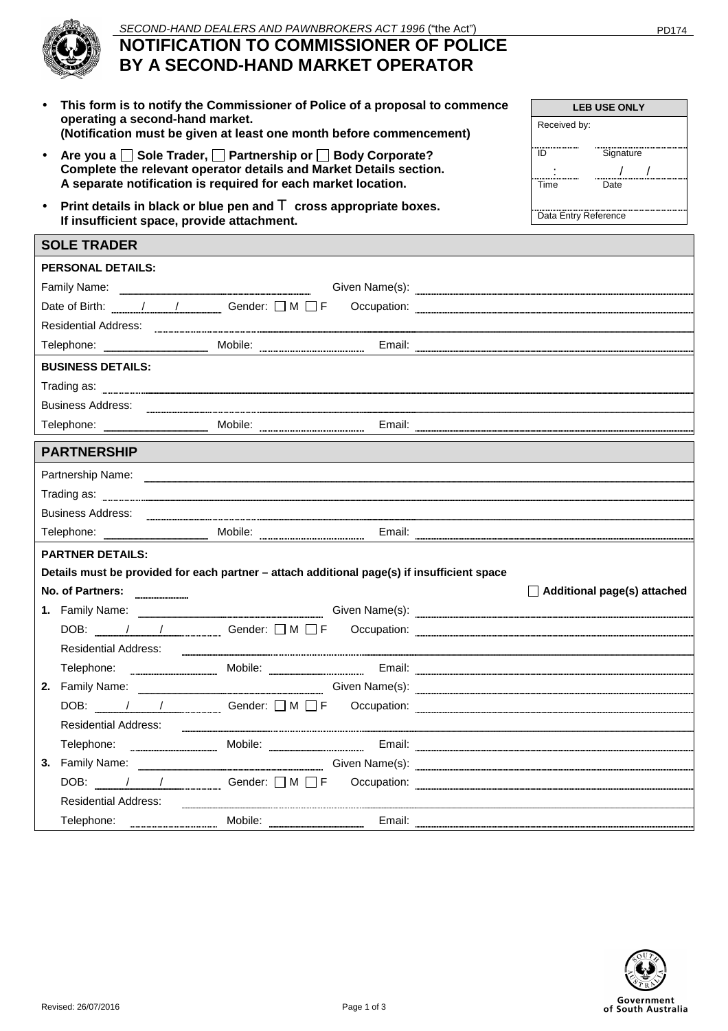## **NOTIFICATION TO COMMISSIONER OF POLICE BY A SECOND-HAND MARKET OPERATOR**

- **This form is to notify the Commissioner of Police of a proposal to commence operating a second-hand market. (Notification must be given at least one month before commencement)**
- Are you a  $\Box$  Sole Trader,  $\Box$  Partnership or  $\Box$  Body Corporate? **Complete the relevant operator details and Market Details section. A separate notification is required for each market location.**
- **Print details in black or blue pen and** T **cross appropriate boxes. If insufficient space, provide attachment.**

| <b>SOLE IRADER</b>                                                                                                                                                                                                                   |  |  |                                                                                                                                                                                                                                                                                                                                                                                                                     |  |  |
|--------------------------------------------------------------------------------------------------------------------------------------------------------------------------------------------------------------------------------------|--|--|---------------------------------------------------------------------------------------------------------------------------------------------------------------------------------------------------------------------------------------------------------------------------------------------------------------------------------------------------------------------------------------------------------------------|--|--|
| <b>PERSONAL DETAILS:</b>                                                                                                                                                                                                             |  |  |                                                                                                                                                                                                                                                                                                                                                                                                                     |  |  |
|                                                                                                                                                                                                                                      |  |  |                                                                                                                                                                                                                                                                                                                                                                                                                     |  |  |
|                                                                                                                                                                                                                                      |  |  | Date of Birth: $\sqrt{1 + 2}$ Gender: $\Box M \Box F$ Occupation:                                                                                                                                                                                                                                                                                                                                                   |  |  |
| Residential Address: 2008. Entrepreneur and Contract Contract Contract Contract Contract Contract Contract Contract Contract Contract Contract Contract Contract Contract Contract Contract Contract Contract Contract Contrac       |  |  |                                                                                                                                                                                                                                                                                                                                                                                                                     |  |  |
|                                                                                                                                                                                                                                      |  |  |                                                                                                                                                                                                                                                                                                                                                                                                                     |  |  |
| <b>BUSINESS DETAILS:</b>                                                                                                                                                                                                             |  |  |                                                                                                                                                                                                                                                                                                                                                                                                                     |  |  |
|                                                                                                                                                                                                                                      |  |  |                                                                                                                                                                                                                                                                                                                                                                                                                     |  |  |
| <b>Business Address:</b>                                                                                                                                                                                                             |  |  |                                                                                                                                                                                                                                                                                                                                                                                                                     |  |  |
|                                                                                                                                                                                                                                      |  |  |                                                                                                                                                                                                                                                                                                                                                                                                                     |  |  |
| <b>PARTNERSHIP</b>                                                                                                                                                                                                                   |  |  |                                                                                                                                                                                                                                                                                                                                                                                                                     |  |  |
| Partnership Name: <u>example and contract and contract and contract and contract and contract and contract and contract and contract and contract and contract and contract and contract and contract and contract and contract </u> |  |  |                                                                                                                                                                                                                                                                                                                                                                                                                     |  |  |
|                                                                                                                                                                                                                                      |  |  |                                                                                                                                                                                                                                                                                                                                                                                                                     |  |  |
| Business Address:                                                                                                                                                                                                                    |  |  |                                                                                                                                                                                                                                                                                                                                                                                                                     |  |  |
|                                                                                                                                                                                                                                      |  |  |                                                                                                                                                                                                                                                                                                                                                                                                                     |  |  |
| <b>PARTNER DETAILS:</b>                                                                                                                                                                                                              |  |  |                                                                                                                                                                                                                                                                                                                                                                                                                     |  |  |
| Details must be provided for each partner - attach additional page(s) if insufficient space                                                                                                                                          |  |  |                                                                                                                                                                                                                                                                                                                                                                                                                     |  |  |
| No. of Partners:                                                                                                                                                                                                                     |  |  | $\Box$ Additional page(s) attached                                                                                                                                                                                                                                                                                                                                                                                  |  |  |
|                                                                                                                                                                                                                                      |  |  |                                                                                                                                                                                                                                                                                                                                                                                                                     |  |  |
|                                                                                                                                                                                                                                      |  |  | DOB: ///// Gender: OM OF Occupation: 2008.                                                                                                                                                                                                                                                                                                                                                                          |  |  |
| Residential Address:                                                                                                                                                                                                                 |  |  |                                                                                                                                                                                                                                                                                                                                                                                                                     |  |  |
|                                                                                                                                                                                                                                      |  |  | Telephone: Mobile: Email: Email: Email: Email: Email: Email: Email: Email: Email: Email: Email: Email: Email: Email: Email: Email: Email: Email: Email: Email: Email: Email: Email: Email: Email: Email: Email: Email: Email:                                                                                                                                                                                       |  |  |
|                                                                                                                                                                                                                                      |  |  |                                                                                                                                                                                                                                                                                                                                                                                                                     |  |  |
|                                                                                                                                                                                                                                      |  |  | DOB: / / / Gender: D M D F Occupation: 2008 COMP AND THE OCCUPATION:                                                                                                                                                                                                                                                                                                                                                |  |  |
| Residential Address:                                                                                                                                                                                                                 |  |  |                                                                                                                                                                                                                                                                                                                                                                                                                     |  |  |
|                                                                                                                                                                                                                                      |  |  | Telephone: Mobile: Mobile: Email: Email: Email: Allephone: Email: Allephone: Email: Allephone: Allephone: Allephone: Allephone: Allephone: Allephone: Allephone: Allephone: Allephone: Allephone: Allephone: Allephone: Alleph                                                                                                                                                                                      |  |  |
|                                                                                                                                                                                                                                      |  |  | 3. Family Name: <u>Containing Sciene Civen Name(s):</u> Containers Containers Sciene Assembly Name:                                                                                                                                                                                                                                                                                                                 |  |  |
|                                                                                                                                                                                                                                      |  |  | DOB: $\frac{1}{\sqrt{1-\frac{1}{1-\frac{1}{1-\frac{1}{1-\frac{1}{1-\frac{1}{1-\frac{1}{1-\frac{1}{1-\frac{1}{1-\frac{1}{1-\frac{1}{1-\frac{1}{1-\frac{1}{1-\frac{1}{1-\frac{1}{1-\frac{1}{1-\frac{1}{1-\frac{1}{1-\frac{1}{1-\frac{1}{1-\frac{1}{1-\frac{1}{1-\frac{1}{1-\frac{1}{1-\frac{1}{1-\frac{1}{1-\frac{1}{1-\frac{1}{1-\frac{1}{1-\frac{1}{1-\frac{1}{1-\frac{1}{1-\frac{1}{1-\frac{1}{1-\frac{1}{1-\frac$ |  |  |
| <b>Residential Address:</b>                                                                                                                                                                                                          |  |  |                                                                                                                                                                                                                                                                                                                                                                                                                     |  |  |
|                                                                                                                                                                                                                                      |  |  | Telephone: Mobile: Mobile: Email: Email: Email: Email: Email: Email: Email: Email: Email: Email: Email: Email: Email: Email: Email: Email: Email: Email: Email: Email: Email: Email: Email: Email: Email: Email: Email: Email:                                                                                                                                                                                      |  |  |





**SOLE TRADER**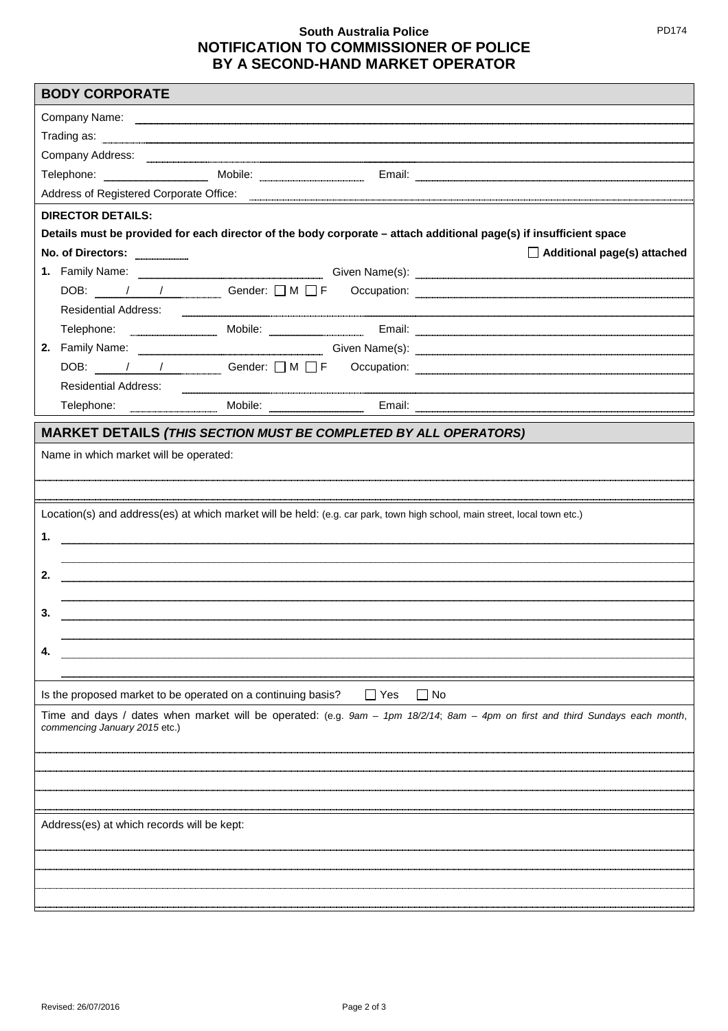## **South Australia Police NOTIFICATION TO COMMISSIONER OF POLICE BY A SECOND-HAND MARKET OPERATOR**

| Company Name: company Name: company Name: company Name: company Name: company Name: company Name: company Name: company Name: company Name: company Name: company Name: company Name: company Name: company Name: company Name       |                                                                                                                           |            |                                                                                                                                                                                                                                     |  |  |  |
|--------------------------------------------------------------------------------------------------------------------------------------------------------------------------------------------------------------------------------------|---------------------------------------------------------------------------------------------------------------------------|------------|-------------------------------------------------------------------------------------------------------------------------------------------------------------------------------------------------------------------------------------|--|--|--|
|                                                                                                                                                                                                                                      |                                                                                                                           |            |                                                                                                                                                                                                                                     |  |  |  |
|                                                                                                                                                                                                                                      |                                                                                                                           |            |                                                                                                                                                                                                                                     |  |  |  |
|                                                                                                                                                                                                                                      |                                                                                                                           |            |                                                                                                                                                                                                                                     |  |  |  |
| Address of Registered Corporate Office: <b>Community Contract Contract Contract Contract Contract Contract Control Contract Contract Contract Contract Contract Contract Contract Contract Contract Contract Contract Contract C</b> |                                                                                                                           |            |                                                                                                                                                                                                                                     |  |  |  |
| <b>DIRECTOR DETAILS:</b>                                                                                                                                                                                                             |                                                                                                                           |            |                                                                                                                                                                                                                                     |  |  |  |
|                                                                                                                                                                                                                                      |                                                                                                                           |            | Details must be provided for each director of the body corporate - attach additional page(s) if insufficient space                                                                                                                  |  |  |  |
| No. of Directors:                                                                                                                                                                                                                    |                                                                                                                           |            | $\Box$ Additional page(s) attached                                                                                                                                                                                                  |  |  |  |
|                                                                                                                                                                                                                                      |                                                                                                                           |            |                                                                                                                                                                                                                                     |  |  |  |
|                                                                                                                                                                                                                                      |                                                                                                                           |            | DOB: / / / Gender: D M D F Occupation: Web Theorem Contains the Contact of Sender: D M D F Occupation:                                                                                                                              |  |  |  |
| Residential Address:                                                                                                                                                                                                                 |                                                                                                                           |            |                                                                                                                                                                                                                                     |  |  |  |
|                                                                                                                                                                                                                                      |                                                                                                                           |            | Telephone: Mobile: Mobile: Email: Email: Email: Allephone: Email: Allephone: Allephone: Allephone: Allephone: Allephone: Allephone: Allephone: Allephone: Allephone: Allephone: Allephone: Allephone: Allephone: Allephone: Al      |  |  |  |
|                                                                                                                                                                                                                                      |                                                                                                                           |            | 2. Family Name: <u>Electronic Communication</u> Civen Name(s): Electronic Communications and the settlement of the settlement of the settlement of the settlement of the settlement of the settlement of the settlement of the sett |  |  |  |
|                                                                                                                                                                                                                                      |                                                                                                                           |            |                                                                                                                                                                                                                                     |  |  |  |
| <b>Residential Address:</b>                                                                                                                                                                                                          |                                                                                                                           |            |                                                                                                                                                                                                                                     |  |  |  |
|                                                                                                                                                                                                                                      |                                                                                                                           |            | Telephone: www.www.www.www.mail.com/mail.com/mail.com/mail.com/mail.com/mail.com/mail.com/mail.com/mail.com/mail.com/mail.com/mail.com/mail.com/mail.com/mail.com/mail.com/mail.com/mail.com/mail.com/mail.com/mail.com/mail.c      |  |  |  |
|                                                                                                                                                                                                                                      |                                                                                                                           |            |                                                                                                                                                                                                                                     |  |  |  |
| <b>MARKET DETAILS (THIS SECTION MUST BE COMPLETED BY ALL OPERATORS)</b>                                                                                                                                                              |                                                                                                                           |            |                                                                                                                                                                                                                                     |  |  |  |
| Name in which market will be operated:                                                                                                                                                                                               |                                                                                                                           |            |                                                                                                                                                                                                                                     |  |  |  |
|                                                                                                                                                                                                                                      |                                                                                                                           |            |                                                                                                                                                                                                                                     |  |  |  |
|                                                                                                                                                                                                                                      |                                                                                                                           |            |                                                                                                                                                                                                                                     |  |  |  |
|                                                                                                                                                                                                                                      | Location(s) and address(es) at which market will be held: (e.g. car park, town high school, main street, local town etc.) |            |                                                                                                                                                                                                                                     |  |  |  |
|                                                                                                                                                                                                                                      |                                                                                                                           |            |                                                                                                                                                                                                                                     |  |  |  |
| 1.                                                                                                                                                                                                                                   |                                                                                                                           |            |                                                                                                                                                                                                                                     |  |  |  |
|                                                                                                                                                                                                                                      |                                                                                                                           |            |                                                                                                                                                                                                                                     |  |  |  |
| 2.                                                                                                                                                                                                                                   |                                                                                                                           |            |                                                                                                                                                                                                                                     |  |  |  |
|                                                                                                                                                                                                                                      |                                                                                                                           |            |                                                                                                                                                                                                                                     |  |  |  |
| 3.                                                                                                                                                                                                                                   |                                                                                                                           |            |                                                                                                                                                                                                                                     |  |  |  |
|                                                                                                                                                                                                                                      |                                                                                                                           |            |                                                                                                                                                                                                                                     |  |  |  |
| 4.                                                                                                                                                                                                                                   |                                                                                                                           |            |                                                                                                                                                                                                                                     |  |  |  |
|                                                                                                                                                                                                                                      |                                                                                                                           |            |                                                                                                                                                                                                                                     |  |  |  |
| Is the proposed market to be operated on a continuing basis?                                                                                                                                                                         |                                                                                                                           | $\Box$ Yes | $\Box$ No                                                                                                                                                                                                                           |  |  |  |
|                                                                                                                                                                                                                                      |                                                                                                                           |            | Time and days / dates when market will be operated: (e.g. 9am - 1pm 18/2/14; 8am - 4pm on first and third Sundays each month,                                                                                                       |  |  |  |
| commencing January 2015 etc.)                                                                                                                                                                                                        |                                                                                                                           |            |                                                                                                                                                                                                                                     |  |  |  |
|                                                                                                                                                                                                                                      |                                                                                                                           |            |                                                                                                                                                                                                                                     |  |  |  |
|                                                                                                                                                                                                                                      |                                                                                                                           |            |                                                                                                                                                                                                                                     |  |  |  |
|                                                                                                                                                                                                                                      |                                                                                                                           |            |                                                                                                                                                                                                                                     |  |  |  |
|                                                                                                                                                                                                                                      |                                                                                                                           |            |                                                                                                                                                                                                                                     |  |  |  |
| Address(es) at which records will be kept:                                                                                                                                                                                           |                                                                                                                           |            |                                                                                                                                                                                                                                     |  |  |  |
|                                                                                                                                                                                                                                      |                                                                                                                           |            |                                                                                                                                                                                                                                     |  |  |  |
|                                                                                                                                                                                                                                      |                                                                                                                           |            |                                                                                                                                                                                                                                     |  |  |  |
|                                                                                                                                                                                                                                      |                                                                                                                           |            |                                                                                                                                                                                                                                     |  |  |  |